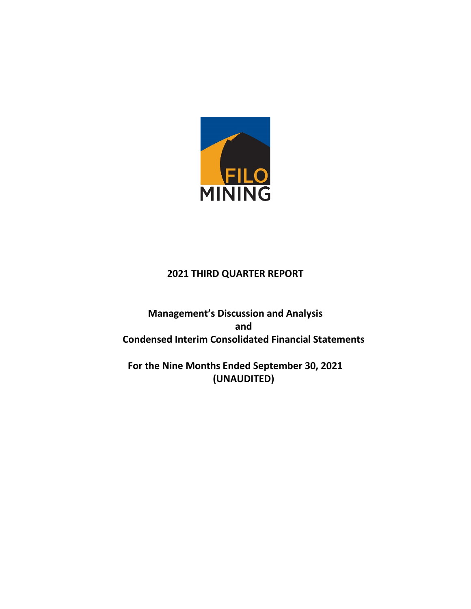

# **2021 THIRD QUARTER REPORT**

**Management's Discussion and Analysis and Condensed Interim Consolidated Financial Statements**

**For the Nine Months Ended September 30, 2021 (UNAUDITED)**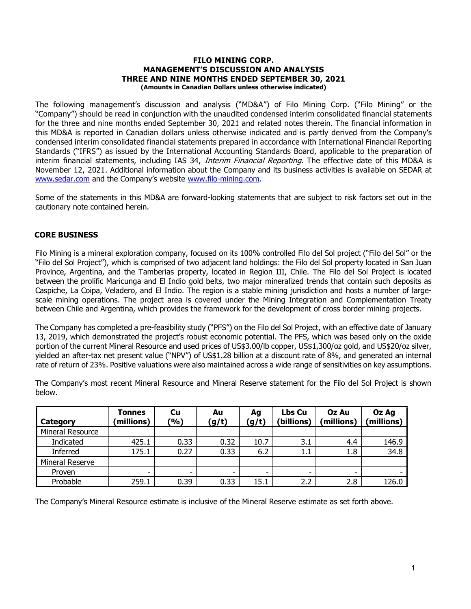#### FILO MINING CORP. MANAGEMENT'S DISCUSSION AND ANALYSIS THREE AND NINE MONTHS ENDED SEPTEMBER 30, 2021 (Amounts in Canadian Dollars unless otherwise indicated)

The following management's discussion and analysis ("MD&A") of Filo Mining Corp. ("Filo Mining" or the "Company") should be read in conjunction with the unaudited condensed interim consolidated financial statements for the three and nine months ended September 30, 2021 and related notes therein. The financial information in this MD&A is reported in Canadian dollars unless otherwise indicated and is partly derived from the Company's condensed interim consolidated financial statements prepared in accordance with International Financial Reporting Standards ("IFRS") as issued by the International Accounting Standards Board, applicable to the preparation of interim financial statements, including IAS 34, Interim Financial Reporting. The effective date of this MD&A is November 12, 2021. Additional information about the Company and its business activities is available on SEDAR at www.sedar.com and the Company's website www.filo-mining.com.

Some of the statements in this MD&A are forward-looking statements that are subject to risk factors set out in the cautionary note contained herein.

## CORE BUSINESS

Filo Mining is a mineral exploration company, focused on its 100% controlled Filo del Sol project ("Filo del Sol" or the "Filo del Sol Project"), which is comprised of two adjacent land holdings: the Filo del Sol property located in San Juan Province, Argentina, and the Tamberias property, located in Region III, Chile. The Filo del Sol Project is located between the prolific Maricunga and El Indio gold belts, two major mineralized trends that contain such deposits as Caspiche, La Coipa, Veladero, and El Indio. The region is a stable mining jurisdiction and hosts a number of largescale mining operations. The project area is covered under the Mining Integration and Complementation Treaty between Chile and Argentina, which provides the framework for the development of cross border mining projects.

The Company has completed a pre-feasibility study ("PFS") on the Filo del Sol Project, with an effective date of January 13, 2019, which demonstrated the project's robust economic potential. The PFS, which was based only on the oxide portion of the current Mineral Resource and used prices of US\$3.00/lb copper, US\$1,300/oz gold, and US\$20/oz silver, yielded an after-tax net present value ("NPV") of US\$1.28 billion at a discount rate of 8%, and generated an internal rate of return of 23%. Positive valuations were also maintained across a wide range of sensitivities on key assumptions.

The Company's most recent Mineral Resource and Mineral Reserve statement for the Filo del Sol Project is shown below.

| Category         | Tonnes<br>(millions) | Cu<br>(9) | Au<br>(g/t) | Ag<br>(g/t) | Lbs Cu<br>(billions) | Oz Au<br>(millions) | Oz Ag<br>(millions) |
|------------------|----------------------|-----------|-------------|-------------|----------------------|---------------------|---------------------|
| Mineral Resource |                      |           |             |             |                      |                     |                     |
| Indicated        | 425.1                | 0.33      | 0.32        | 10.7        | 3.1                  | 4.4                 | 146.9               |
| Inferred         | 175.1                | 0.27      | 0.33        | 6.2         | 1.1                  | 1.8                 | 34.8                |
| Mineral Reserve  |                      |           |             |             |                      |                     |                     |
| Proven           | ۰                    | ۰         | ۰           | ۰           | -                    | ۰.                  |                     |
| Probable         | 259.1                | 0.39      | 0.33        | 15.1        | 2.2                  | 2.8                 | 126.0               |

The Company's Mineral Resource estimate is inclusive of the Mineral Reserve estimate as set forth above.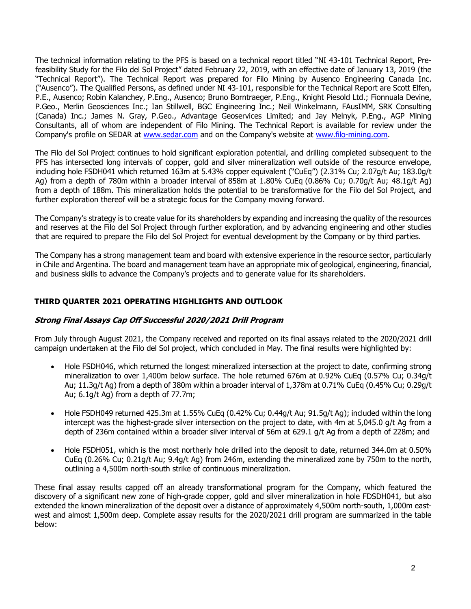The technical information relating to the PFS is based on a technical report titled "NI 43-101 Technical Report, Prefeasibility Study for the Filo del Sol Project" dated February 22, 2019, with an effective date of January 13, 2019 (the "Technical Report"). The Technical Report was prepared for Filo Mining by Ausenco Engineering Canada Inc. ("Ausenco"). The Qualified Persons, as defined under NI 43-101, responsible for the Technical Report are Scott Elfen, P.E., Ausenco; Robin Kalanchey, P.Eng., Ausenco; Bruno Borntraeger, P.Eng., Knight Piesold Ltd.; Fionnuala Devine, P.Geo., Merlin Geosciences Inc.; Ian Stillwell, BGC Engineering Inc.; Neil Winkelmann, FAusIMM, SRK Consulting (Canada) Inc.; James N. Gray, P.Geo., Advantage Geoservices Limited; and Jay Melnyk, P.Eng., AGP Mining Consultants, all of whom are independent of Filo Mining. The Technical Report is available for review under the Company's profile on SEDAR at www.sedar.com and on the Company's website at www.filo-mining.com.

The Filo del Sol Project continues to hold significant exploration potential, and drilling completed subsequent to the PFS has intersected long intervals of copper, gold and silver mineralization well outside of the resource envelope, including hole FSDH041 which returned 163m at 5.43% copper equivalent ("CuEq") (2.31% Cu; 2.07g/t Au; 183.0g/t Ag) from a depth of 780m within a broader interval of 858m at 1.80% CuEq (0.86% Cu; 0.70g/t Au; 48.1g/t Ag) from a depth of 188m. This mineralization holds the potential to be transformative for the Filo del Sol Project, and further exploration thereof will be a strategic focus for the Company moving forward.

The Company's strategy is to create value for its shareholders by expanding and increasing the quality of the resources and reserves at the Filo del Sol Project through further exploration, and by advancing engineering and other studies that are required to prepare the Filo del Sol Project for eventual development by the Company or by third parties.

The Company has a strong management team and board with extensive experience in the resource sector, particularly in Chile and Argentina. The board and management team have an appropriate mix of geological, engineering, financial, and business skills to advance the Company's projects and to generate value for its shareholders.

## THIRD QUARTER 2021 OPERATING HIGHLIGHTS AND OUTLOOK

### Strong Final Assays Cap Off Successful 2020/2021 Drill Program

From July through August 2021, the Company received and reported on its final assays related to the 2020/2021 drill campaign undertaken at the Filo del Sol project, which concluded in May. The final results were highlighted by:

- Hole FSDH046, which returned the longest mineralized intersection at the project to date, confirming strong mineralization to over 1,400m below surface. The hole returned 676m at 0.92% CuEq (0.57% Cu; 0.34g/t Au; 11.3g/t Ag) from a depth of 380m within a broader interval of 1,378m at 0.71% CuEq (0.45% Cu; 0.29g/t Au; 6.1g/t Ag) from a depth of 77.7m;
- Hole FSDH049 returned 425.3m at 1.55% CuEq (0.42% Cu; 0.44g/t Au; 91.5g/t Ag); included within the long intercept was the highest-grade silver intersection on the project to date, with 4m at 5,045.0 g/t Ag from a depth of 236m contained within a broader silver interval of 56m at 629.1 g/t Ag from a depth of 228m; and
- Hole FSDH051, which is the most northerly hole drilled into the deposit to date, returned 344.0m at 0.50% CuEq (0.26% Cu; 0.21g/t Au; 9.4g/t Ag) from 246m, extending the mineralized zone by 750m to the north, outlining a 4,500m north-south strike of continuous mineralization.

These final assay results capped off an already transformational program for the Company, which featured the discovery of a significant new zone of high-grade copper, gold and silver mineralization in hole FDSDH041, but also extended the known mineralization of the deposit over a distance of approximately 4,500m north-south, 1,000m eastwest and almost 1,500m deep. Complete assay results for the 2020/2021 drill program are summarized in the table below: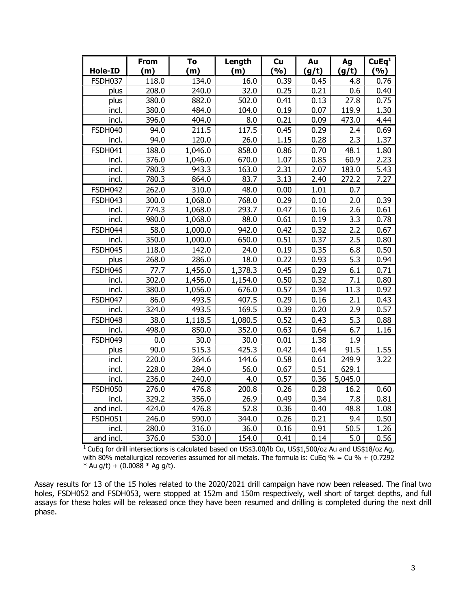| <b>Hole-ID</b> | <b>From</b><br>(m) | To<br>(m)      | Length<br>(m) | cu<br>(%)    | Au           | Ag          | CuEq <sup>1</sup><br>(9/6) |
|----------------|--------------------|----------------|---------------|--------------|--------------|-------------|----------------------------|
|                |                    |                |               |              | (g/t)        | (g/t)       |                            |
| FSDH037        | 118.0              | 134.0          | 16.0          | 0.39         | 0.45         | 4.8         | 0.76                       |
| plus<br>plus   | 208.0<br>380.0     | 240.0<br>882.0 | 32.0<br>502.0 | 0.25<br>0.41 | 0.21<br>0.13 | 0.6<br>27.8 | 0.40<br>0.75               |
|                |                    | 484.0          |               | 0.19         | 0.07         | 119.9       | 1.30                       |
| incl.<br>incl. | 380.0<br>396.0     | 404.0          | 104.0<br>8.0  | 0.21         | 0.09         | 473.0       | 4.44                       |
|                |                    |                |               |              |              |             |                            |
| FSDH040        | 94.0               | 211.5          | 117.5         | 0.45         | 0.29         | 2.4<br>2.3  | 0.69                       |
| incl.          | 94.0               | 120.0          | 26.0          | 1.15         | 0.28         |             | 1.37                       |
| FSDH041        | 188.0              | 1,046.0        | 858.0         | 0.86         | 0.70         | 48.1        | 1.80                       |
| incl.          | 376.0              | 1,046.0        | 670.0         | 1.07         | 0.85         | 60.9        | 2.23                       |
| incl.          | 780.3              | 943.3          | 163.0         | 2.31         | 2.07         | 183.0       | 5.43                       |
| incl.          | 780.3              | 864.0          | 83.7          | 3.13         | 2.40         | 272.2       | 7.27                       |
| <b>FSDH042</b> | 262.0              | 310.0          | 48.0          | 0.00         | 1.01         | 0.7         |                            |
| FSDH043        | 300.0              | 1,068.0        | 768.0         | 0.29         | 0.10         | 2.0         | 0.39                       |
| incl.          | 774.3              | 1,068.0        | 293.7         | 0.47         | 0.16         | 2.6         | 0.61                       |
| incl.          | 980.0              | 1,068.0        | 88.0          | 0.61         | 0.19         | 3.3         | 0.78                       |
| FSDH044        | 58.0               | 1,000.0        | 942.0         | 0.42         | 0.32         | 2.2         | 0.67                       |
| incl.          | 350.0              | 1,000.0        | 650.0         | 0.51         | 0.37         | 2.5         | 0.80                       |
| FSDH045        | 118.0              | 142.0          | 24.0          | 0.19         | 0.35         | 6.8         | 0.50                       |
| plus           | 268.0              | 286.0          | 18.0          | 0.22         | 0.93         | 5.3         | 0.94                       |
| FSDH046        | 77.7               | 1,456.0        | 1,378.3       | 0.45         | 0.29         | 6.1         | 0.71                       |
| incl.          | 302.0              | 1,456.0        | 1,154.0       | 0.50         | 0.32         | 7.1         | 0.80                       |
| incl.          | 380.0              | 1,056.0        | 676.0         | 0.57         | 0.34         | 11.3        | 0.92                       |
| FSDH047        | 86.0               | 493.5          | 407.5         | 0.29         | 0.16         | 2.1         | 0.43                       |
| incl.          | 324.0              | 493.5          | 169.5         | 0.39         | 0.20         | 2.9         | 0.57                       |
| FSDH048        | 38.0               | 1,118.5        | 1,080.5       | 0.52         | 0.43         | 5.3         | 0.88                       |
| incl.          | 498.0              | 850.0          | 352.0         | 0.63         | 0.64         | 6.7         | 1.16                       |
| FSDH049        | 0.0                | 30.0           | 30.0          | 0.01         | 1.38         | 1.9         |                            |
| plus           | 90.0               | 515.3          | 425.3         | 0.42         | 0.44         | 91.5        | 1.55                       |
| incl.          | 220.0              | 364.6          | 144.6         | 0.58         | 0.61         | 249.9       | 3.22                       |
| incl.          | 228.0              | 284.0          | 56.0          | 0.67         | 0.51         | 629.1       |                            |
| incl.          | 236.0              | 240.0          | 4.0           | 0.57         | 0.36         | 5,045.0     |                            |
| <b>FSDH050</b> | 276.0              | 476.8          | 200.8         | 0.26         | 0.28         | 16.2        | 0.60                       |
| incl.          | 329.2              | 356.0          | 26.9          | 0.49         | 0.34         | 7.8         | 0.81                       |
| and incl.      | 424.0              | 476.8          | 52.8          | 0.36         | 0.40         | 48.8        | 1.08                       |
| <b>FSDH051</b> | 246.0              | 590.0          | 344.0         | 0.26         | 0.21         | 9.4         | 0.50                       |
| incl.          | 280.0              | 316.0          | 36.0          | 0.16         | 0.91         | 50.5        | 1.26                       |
| and incl.      | 376.0              | 530.0          | 154.0         | 0.41         | 0.14         | 5.0         | 0.56                       |

<sup>1</sup> CuEq for drill intersections is calculated based on US\$3.00/lb Cu, US\$1,500/oz Au and US\$18/oz Ag, with 80% metallurgical recoveries assumed for all metals. The formula is: CuEq % = Cu % + (0.7292 \* Au g/t) +  $(0.0088 * Ag g/t)$ .

Assay results for 13 of the 15 holes related to the 2020/2021 drill campaign have now been released. The final two holes, FSDH052 and FSDH053, were stopped at 152m and 150m respectively, well short of target depths, and full assays for these holes will be released once they have been resumed and drilling is completed during the next drill phase.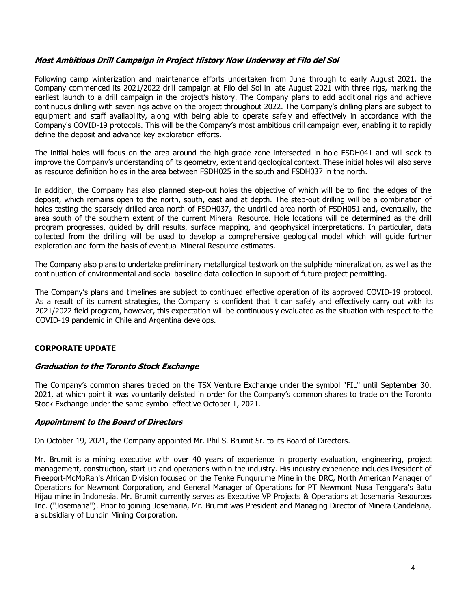### Most Ambitious Drill Campaign in Project History Now Underway at Filo del Sol

Following camp winterization and maintenance efforts undertaken from June through to early August 2021, the Company commenced its 2021/2022 drill campaign at Filo del Sol in late August 2021 with three rigs, marking the earliest launch to a drill campaign in the project's history. The Company plans to add additional rigs and achieve continuous drilling with seven rigs active on the project throughout 2022. The Company's drilling plans are subject to equipment and staff availability, along with being able to operate safely and effectively in accordance with the Company's COVID-19 protocols. This will be the Company's most ambitious drill campaign ever, enabling it to rapidly define the deposit and advance key exploration efforts.

The initial holes will focus on the area around the high-grade zone intersected in hole FSDH041 and will seek to improve the Company's understanding of its geometry, extent and geological context. These initial holes will also serve as resource definition holes in the area between FSDH025 in the south and FSDH037 in the north.

In addition, the Company has also planned step-out holes the objective of which will be to find the edges of the deposit, which remains open to the north, south, east and at depth. The step-out drilling will be a combination of holes testing the sparsely drilled area north of FSDH037, the undrilled area north of FSDH051 and, eventually, the area south of the southern extent of the current Mineral Resource. Hole locations will be determined as the drill program progresses, guided by drill results, surface mapping, and geophysical interpretations. In particular, data collected from the drilling will be used to develop a comprehensive geological model which will guide further exploration and form the basis of eventual Mineral Resource estimates.

The Company also plans to undertake preliminary metallurgical testwork on the sulphide mineralization, as well as the continuation of environmental and social baseline data collection in support of future project permitting.

The Company's plans and timelines are subject to continued effective operation of its approved COVID-19 protocol. As a result of its current strategies, the Company is confident that it can safely and effectively carry out with its 2021/2022 field program, however, this expectation will be continuously evaluated as the situation with respect to the COVID-19 pandemic in Chile and Argentina develops.

# CORPORATE UPDATE

### Graduation to the Toronto Stock Exchange

The Company's common shares traded on the TSX Venture Exchange under the symbol "FIL" until September 30, 2021, at which point it was voluntarily delisted in order for the Company's common shares to trade on the Toronto Stock Exchange under the same symbol effective October 1, 2021.

### Appointment to the Board of Directors

On October 19, 2021, the Company appointed Mr. Phil S. Brumit Sr. to its Board of Directors.

Mr. Brumit is a mining executive with over 40 years of experience in property evaluation, engineering, project management, construction, start-up and operations within the industry. His industry experience includes President of Freeport-McMoRan's African Division focused on the Tenke Fungurume Mine in the DRC, North American Manager of Operations for Newmont Corporation, and General Manager of Operations for PT Newmont Nusa Tenggara's Batu Hijau mine in Indonesia. Mr. Brumit currently serves as Executive VP Projects & Operations at Josemaria Resources Inc. ("Josemaria"). Prior to joining Josemaria, Mr. Brumit was President and Managing Director of Minera Candelaria, a subsidiary of Lundin Mining Corporation.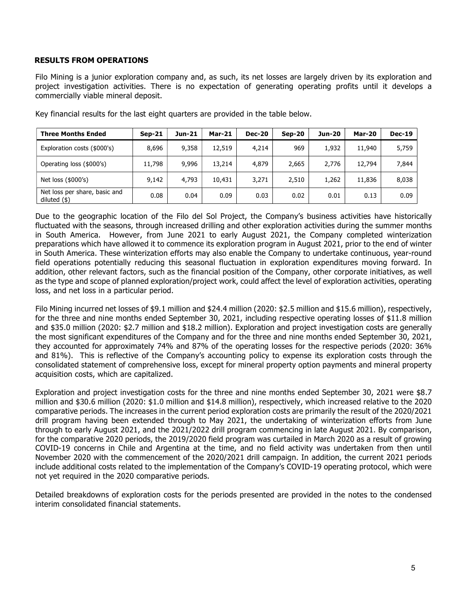#### RESULTS FROM OPERATIONS

Filo Mining is a junior exploration company and, as such, its net losses are largely driven by its exploration and project investigation activities. There is no expectation of generating operating profits until it develops a commercially viable mineral deposit.

| <b>Three Months Ended</b>                        | $Sen-21$ | Jun-21 | Mar-21 | <b>Dec-20</b> | Sep-20 | Jun-20 | <b>Mar-20</b> | <b>Dec-19</b> |
|--------------------------------------------------|----------|--------|--------|---------------|--------|--------|---------------|---------------|
| Exploration costs (\$000's)                      | 8.696    | 9,358  | 12,519 | 4,214         | 969    | 1,932  | 11,940        | 5,759         |
| Operating loss (\$000's)                         | 11,798   | 9,996  | 13,214 | 4,879         | 2,665  | 2.776  | 12,794        | 7,844         |
| Net loss (\$000's)                               | 9,142    | 4,793  | 10,431 | 3,271         | 2,510  | 1,262  | 11,836        | 8,038         |
| Net loss per share, basic and<br>diluted $($ \$) | 0.08     | 0.04   | 0.09   | 0.03          | 0.02   | 0.01   | 0.13          | 0.09          |

Key financial results for the last eight quarters are provided in the table below.

Due to the geographic location of the Filo del Sol Project, the Company's business activities have historically fluctuated with the seasons, through increased drilling and other exploration activities during the summer months in South America. However, from June 2021 to early August 2021, the Company completed winterization preparations which have allowed it to commence its exploration program in August 2021, prior to the end of winter in South America. These winterization efforts may also enable the Company to undertake continuous, year-round field operations potentially reducing this seasonal fluctuation in exploration expenditures moving forward. In addition, other relevant factors, such as the financial position of the Company, other corporate initiatives, as well as the type and scope of planned exploration/project work, could affect the level of exploration activities, operating loss, and net loss in a particular period.

Filo Mining incurred net losses of \$9.1 million and \$24.4 million (2020: \$2.5 million and \$15.6 million), respectively, for the three and nine months ended September 30, 2021, including respective operating losses of \$11.8 million and \$35.0 million (2020: \$2.7 million and \$18.2 million). Exploration and project investigation costs are generally the most significant expenditures of the Company and for the three and nine months ended September 30, 2021, they accounted for approximately 74% and 87% of the operating losses for the respective periods (2020: 36% and 81%). This is reflective of the Company's accounting policy to expense its exploration costs through the consolidated statement of comprehensive loss, except for mineral property option payments and mineral property acquisition costs, which are capitalized.

Exploration and project investigation costs for the three and nine months ended September 30, 2021 were \$8.7 million and \$30.6 million (2020: \$1.0 million and \$14.8 million), respectively, which increased relative to the 2020 comparative periods. The increases in the current period exploration costs are primarily the result of the 2020/2021 drill program having been extended through to May 2021, the undertaking of winterization efforts from June through to early August 2021, and the 2021/2022 drill program commencing in late August 2021. By comparison, for the comparative 2020 periods, the 2019/2020 field program was curtailed in March 2020 as a result of growing COVID-19 concerns in Chile and Argentina at the time, and no field activity was undertaken from then until November 2020 with the commencement of the 2020/2021 drill campaign. In addition, the current 2021 periods include additional costs related to the implementation of the Company's COVID-19 operating protocol, which were not yet required in the 2020 comparative periods.

Detailed breakdowns of exploration costs for the periods presented are provided in the notes to the condensed interim consolidated financial statements.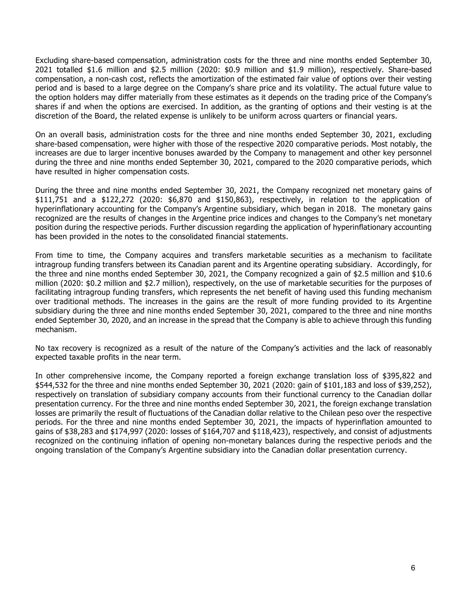Excluding share-based compensation, administration costs for the three and nine months ended September 30, 2021 totalled \$1.6 million and \$2.5 million (2020: \$0.9 million and \$1.9 million), respectively. Share-based compensation, a non-cash cost, reflects the amortization of the estimated fair value of options over their vesting period and is based to a large degree on the Company's share price and its volatility. The actual future value to the option holders may differ materially from these estimates as it depends on the trading price of the Company's shares if and when the options are exercised. In addition, as the granting of options and their vesting is at the discretion of the Board, the related expense is unlikely to be uniform across quarters or financial years.

On an overall basis, administration costs for the three and nine months ended September 30, 2021, excluding share-based compensation, were higher with those of the respective 2020 comparative periods. Most notably, the increases are due to larger incentive bonuses awarded by the Company to management and other key personnel during the three and nine months ended September 30, 2021, compared to the 2020 comparative periods, which have resulted in higher compensation costs.

During the three and nine months ended September 30, 2021, the Company recognized net monetary gains of \$111,751 and a \$122,272 (2020: \$6,870 and \$150,863), respectively, in relation to the application of hyperinflationary accounting for the Company's Argentine subsidiary, which began in 2018. The monetary gains recognized are the results of changes in the Argentine price indices and changes to the Company's net monetary position during the respective periods. Further discussion regarding the application of hyperinflationary accounting has been provided in the notes to the consolidated financial statements.

From time to time, the Company acquires and transfers marketable securities as a mechanism to facilitate intragroup funding transfers between its Canadian parent and its Argentine operating subsidiary. Accordingly, for the three and nine months ended September 30, 2021, the Company recognized a gain of \$2.5 million and \$10.6 million (2020: \$0.2 million and \$2.7 million), respectively, on the use of marketable securities for the purposes of facilitating intragroup funding transfers, which represents the net benefit of having used this funding mechanism over traditional methods. The increases in the gains are the result of more funding provided to its Argentine subsidiary during the three and nine months ended September 30, 2021, compared to the three and nine months ended September 30, 2020, and an increase in the spread that the Company is able to achieve through this funding mechanism.

No tax recovery is recognized as a result of the nature of the Company's activities and the lack of reasonably expected taxable profits in the near term.

In other comprehensive income, the Company reported a foreign exchange translation loss of \$395,822 and \$544,532 for the three and nine months ended September 30, 2021 (2020: gain of \$101,183 and loss of \$39,252), respectively on translation of subsidiary company accounts from their functional currency to the Canadian dollar presentation currency. For the three and nine months ended September 30, 2021, the foreign exchange translation losses are primarily the result of fluctuations of the Canadian dollar relative to the Chilean peso over the respective periods. For the three and nine months ended September 30, 2021, the impacts of hyperinflation amounted to gains of \$38,283 and \$174,997 (2020: losses of \$164,707 and \$118,423), respectively, and consist of adjustments recognized on the continuing inflation of opening non-monetary balances during the respective periods and the ongoing translation of the Company's Argentine subsidiary into the Canadian dollar presentation currency.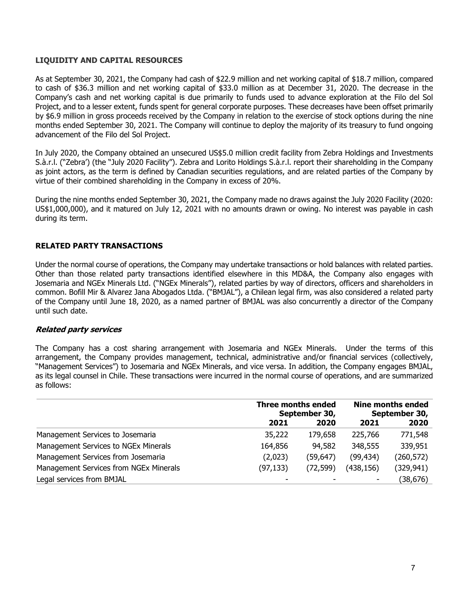### LIQUIDITY AND CAPITAL RESOURCES

As at September 30, 2021, the Company had cash of \$22.9 million and net working capital of \$18.7 million, compared to cash of \$36.3 million and net working capital of \$33.0 million as at December 31, 2020. The decrease in the Company's cash and net working capital is due primarily to funds used to advance exploration at the Filo del Sol Project, and to a lesser extent, funds spent for general corporate purposes. These decreases have been offset primarily by \$6.9 million in gross proceeds received by the Company in relation to the exercise of stock options during the nine months ended September 30, 2021. The Company will continue to deploy the majority of its treasury to fund ongoing advancement of the Filo del Sol Project.

In July 2020, the Company obtained an unsecured US\$5.0 million credit facility from Zebra Holdings and Investments S.à.r.l. ("Zebra') (the "July 2020 Facility"). Zebra and Lorito Holdings S.à.r.l. report their shareholding in the Company as joint actors, as the term is defined by Canadian securities regulations, and are related parties of the Company by virtue of their combined shareholding in the Company in excess of 20%.

During the nine months ended September 30, 2021, the Company made no draws against the July 2020 Facility (2020: US\$1,000,000), and it matured on July 12, 2021 with no amounts drawn or owing. No interest was payable in cash during its term.

## RELATED PARTY TRANSACTIONS

Under the normal course of operations, the Company may undertake transactions or hold balances with related parties. Other than those related party transactions identified elsewhere in this MD&A, the Company also engages with Josemaria and NGEx Minerals Ltd. ("NGEx Minerals"), related parties by way of directors, officers and shareholders in common. Bofill Mir & Alvarez Jana Abogados Ltda. ("BMJAL"), a Chilean legal firm, was also considered a related party of the Company until June 18, 2020, as a named partner of BMJAL was also concurrently a director of the Company until such date.

### Related party services

The Company has a cost sharing arrangement with Josemaria and NGEx Minerals. Under the terms of this arrangement, the Company provides management, technical, administrative and/or financial services (collectively, "Management Services") to Josemaria and NGEx Minerals, and vice versa. In addition, the Company engages BMJAL, as its legal counsel in Chile. These transactions were incurred in the normal course of operations, and are summarized as follows:

|                                        | <b>Three months ended</b><br>September 30, |           | <b>Nine months ended</b><br>September 30, |            |
|----------------------------------------|--------------------------------------------|-----------|-------------------------------------------|------------|
|                                        | 2021                                       | 2020      | 2021                                      | 2020       |
| Management Services to Josemaria       | 35,222                                     | 179,658   | 225,766                                   | 771,548    |
| Management Services to NGEx Minerals   | 164,856                                    | 94,582    | 348,555                                   | 339,951    |
| Management Services from Josemaria     | (2,023)                                    | (59, 647) | (99, 434)                                 | (260, 572) |
| Management Services from NGEx Minerals | (97, 133)                                  | (72, 599) | (438,156)                                 | (329, 941) |
| Legal services from BMJAL              |                                            |           | ۰                                         | (38,676)   |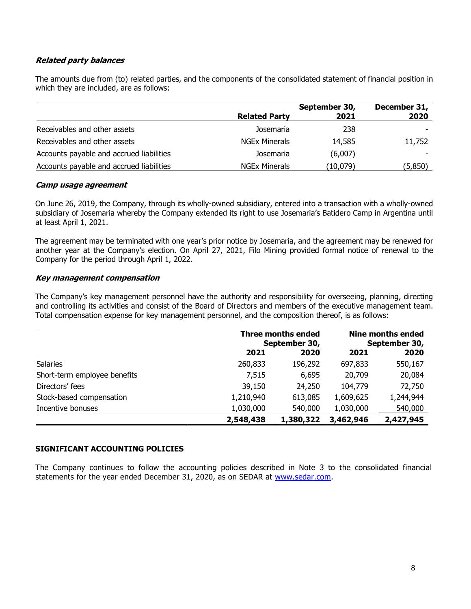# Related party balances

The amounts due from (to) related parties, and the components of the consolidated statement of financial position in which they are included, are as follows:

|                                          |                      | September 30, | December 31, |
|------------------------------------------|----------------------|---------------|--------------|
|                                          | <b>Related Party</b> | 2021          | 2020         |
| Receivables and other assets             | Josemaria            | 238           |              |
| Receivables and other assets             | <b>NGEx Minerals</b> | 14,585        | 11,752       |
| Accounts payable and accrued liabilities | Josemaria            | (6,007)       |              |
| Accounts payable and accrued liabilities | <b>NGEx Minerals</b> | (10,079)      | (5,850)      |

#### Camp usage agreement

On June 26, 2019, the Company, through its wholly-owned subsidiary, entered into a transaction with a wholly-owned subsidiary of Josemaria whereby the Company extended its right to use Josemaria's Batidero Camp in Argentina until at least April 1, 2021.

The agreement may be terminated with one year's prior notice by Josemaria, and the agreement may be renewed for another year at the Company's election. On April 27, 2021, Filo Mining provided formal notice of renewal to the Company for the period through April 1, 2022.

### Key management compensation

The Company's key management personnel have the authority and responsibility for overseeing, planning, directing and controlling its activities and consist of the Board of Directors and members of the executive management team. Total compensation expense for key management personnel, and the composition thereof, is as follows:

|                              |           | <b>Three months ended</b><br>September 30, |           |           |
|------------------------------|-----------|--------------------------------------------|-----------|-----------|
|                              | 2021      | 2020                                       | 2021      | 2020      |
| Salaries                     | 260,833   | 196,292                                    | 697,833   | 550,167   |
| Short-term employee benefits | 7,515     | 6,695                                      | 20,709    | 20,084    |
| Directors' fees              | 39,150    | 24,250                                     | 104,779   | 72,750    |
| Stock-based compensation     | 1,210,940 | 613,085                                    | 1,609,625 | 1,244,944 |
| Incentive bonuses            | 1,030,000 | 540,000                                    | 1,030,000 | 540,000   |
|                              | 2,548,438 | 1,380,322                                  | 3,462,946 | 2,427,945 |

# SIGNIFICANT ACCOUNTING POLICIES

The Company continues to follow the accounting policies described in Note 3 to the consolidated financial statements for the year ended December 31, 2020, as on SEDAR at www.sedar.com.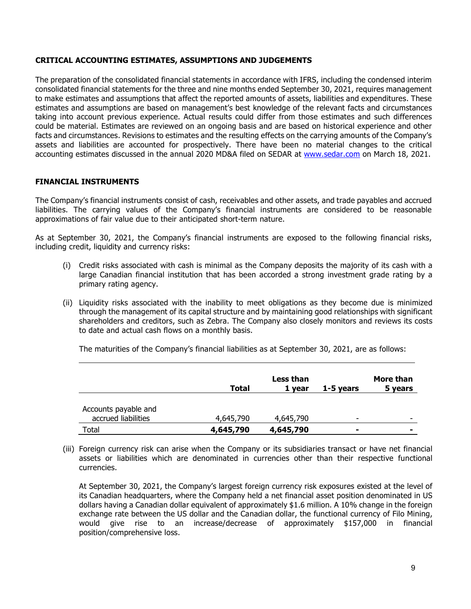## CRITICAL ACCOUNTING ESTIMATES, ASSUMPTIONS AND JUDGEMENTS

The preparation of the consolidated financial statements in accordance with IFRS, including the condensed interim consolidated financial statements for the three and nine months ended September 30, 2021, requires management to make estimates and assumptions that affect the reported amounts of assets, liabilities and expenditures. These estimates and assumptions are based on management's best knowledge of the relevant facts and circumstances taking into account previous experience. Actual results could differ from those estimates and such differences could be material. Estimates are reviewed on an ongoing basis and are based on historical experience and other facts and circumstances. Revisions to estimates and the resulting effects on the carrying amounts of the Company's assets and liabilities are accounted for prospectively. There have been no material changes to the critical accounting estimates discussed in the annual 2020 MD&A filed on SEDAR at www.sedar.com on March 18, 2021.

## FINANCIAL INSTRUMENTS

The Company's financial instruments consist of cash, receivables and other assets, and trade payables and accrued liabilities. The carrying values of the Company's financial instruments are considered to be reasonable approximations of fair value due to their anticipated short-term nature.

As at September 30, 2021, the Company's financial instruments are exposed to the following financial risks, including credit, liquidity and currency risks:

- (i) Credit risks associated with cash is minimal as the Company deposits the majority of its cash with a large Canadian financial institution that has been accorded a strong investment grade rating by a primary rating agency.
- (ii) Liquidity risks associated with the inability to meet obligations as they become due is minimized through the management of its capital structure and by maintaining good relationships with significant shareholders and creditors, such as Zebra. The Company also closely monitors and reviews its costs to date and actual cash flows on a monthly basis.

|                                             | Total     | Less than<br>1 vear | 1-5 years                | More than<br>5 years     |
|---------------------------------------------|-----------|---------------------|--------------------------|--------------------------|
| Accounts payable and<br>accrued liabilities | 4,645,790 | 4,645,790           | $\overline{\phantom{0}}$ | $\overline{\phantom{a}}$ |
| Total                                       | 4,645,790 | 4,645,790           | $\blacksquare$           | ۰                        |

(iii) Foreign currency risk can arise when the Company or its subsidiaries transact or have net financial assets or liabilities which are denominated in currencies other than their respective functional currencies.

At September 30, 2021, the Company's largest foreign currency risk exposures existed at the level of its Canadian headquarters, where the Company held a net financial asset position denominated in US dollars having a Canadian dollar equivalent of approximately \$1.6 million. A 10% change in the foreign exchange rate between the US dollar and the Canadian dollar, the functional currency of Filo Mining, would give rise to an increase/decrease of approximately \$157,000 in financial position/comprehensive loss.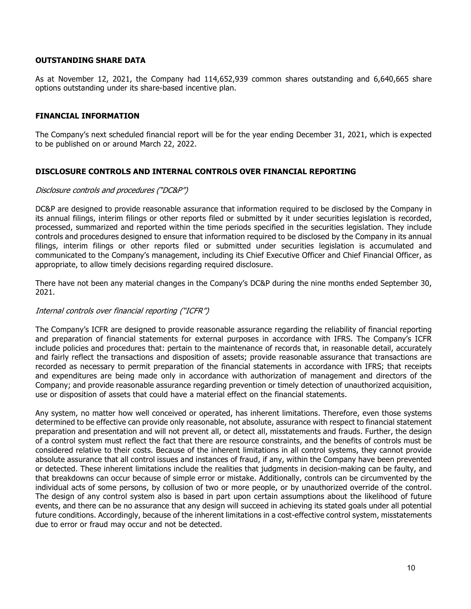#### OUTSTANDING SHARE DATA

As at November 12, 2021, the Company had 114,652,939 common shares outstanding and 6,640,665 share options outstanding under its share-based incentive plan.

### FINANCIAL INFORMATION

The Company's next scheduled financial report will be for the year ending December 31, 2021, which is expected to be published on or around March 22, 2022.

### DISCLOSURE CONTROLS AND INTERNAL CONTROLS OVER FINANCIAL REPORTING

#### Disclosure controls and procedures ("DC&P")

DC&P are designed to provide reasonable assurance that information required to be disclosed by the Company in its annual filings, interim filings or other reports filed or submitted by it under securities legislation is recorded, processed, summarized and reported within the time periods specified in the securities legislation. They include controls and procedures designed to ensure that information required to be disclosed by the Company in its annual filings, interim filings or other reports filed or submitted under securities legislation is accumulated and communicated to the Company's management, including its Chief Executive Officer and Chief Financial Officer, as appropriate, to allow timely decisions regarding required disclosure.

There have not been any material changes in the Company's DC&P during the nine months ended September 30, 2021.

### Internal controls over financial reporting ("ICFR")

The Company's ICFR are designed to provide reasonable assurance regarding the reliability of financial reporting and preparation of financial statements for external purposes in accordance with IFRS. The Company's ICFR include policies and procedures that: pertain to the maintenance of records that, in reasonable detail, accurately and fairly reflect the transactions and disposition of assets; provide reasonable assurance that transactions are recorded as necessary to permit preparation of the financial statements in accordance with IFRS; that receipts and expenditures are being made only in accordance with authorization of management and directors of the Company; and provide reasonable assurance regarding prevention or timely detection of unauthorized acquisition, use or disposition of assets that could have a material effect on the financial statements.

Any system, no matter how well conceived or operated, has inherent limitations. Therefore, even those systems determined to be effective can provide only reasonable, not absolute, assurance with respect to financial statement preparation and presentation and will not prevent all, or detect all, misstatements and frauds. Further, the design of a control system must reflect the fact that there are resource constraints, and the benefits of controls must be considered relative to their costs. Because of the inherent limitations in all control systems, they cannot provide absolute assurance that all control issues and instances of fraud, if any, within the Company have been prevented or detected. These inherent limitations include the realities that judgments in decision-making can be faulty, and that breakdowns can occur because of simple error or mistake. Additionally, controls can be circumvented by the individual acts of some persons, by collusion of two or more people, or by unauthorized override of the control. The design of any control system also is based in part upon certain assumptions about the likelihood of future events, and there can be no assurance that any design will succeed in achieving its stated goals under all potential future conditions. Accordingly, because of the inherent limitations in a cost-effective control system, misstatements due to error or fraud may occur and not be detected.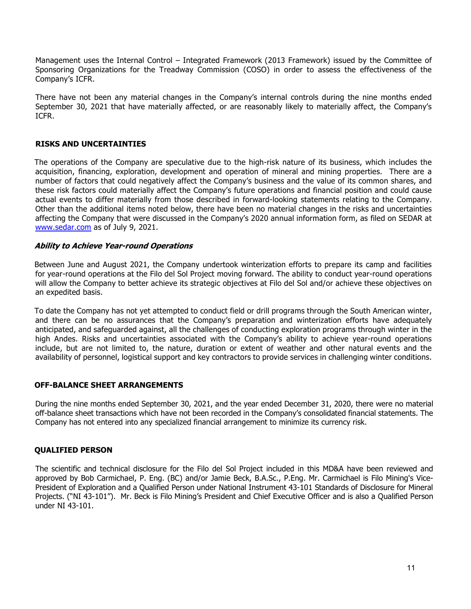Management uses the Internal Control – Integrated Framework (2013 Framework) issued by the Committee of Sponsoring Organizations for the Treadway Commission (COSO) in order to assess the effectiveness of the Company's ICFR.

There have not been any material changes in the Company's internal controls during the nine months ended September 30, 2021 that have materially affected, or are reasonably likely to materially affect, the Company's ICFR.

#### RISKS AND UNCERTAINTIES

The operations of the Company are speculative due to the high-risk nature of its business, which includes the acquisition, financing, exploration, development and operation of mineral and mining properties. There are a number of factors that could negatively affect the Company's business and the value of its common shares, and these risk factors could materially affect the Company's future operations and financial position and could cause actual events to differ materially from those described in forward-looking statements relating to the Company. Other than the additional items noted below, there have been no material changes in the risks and uncertainties affecting the Company that were discussed in the Company's 2020 annual information form, as filed on SEDAR at www.sedar.com as of July 9, 2021.

#### Ability to Achieve Year-round Operations

Between June and August 2021, the Company undertook winterization efforts to prepare its camp and facilities for year-round operations at the Filo del Sol Project moving forward. The ability to conduct year-round operations will allow the Company to better achieve its strategic objectives at Filo del Sol and/or achieve these objectives on an expedited basis.

To date the Company has not yet attempted to conduct field or drill programs through the South American winter, and there can be no assurances that the Company's preparation and winterization efforts have adequately anticipated, and safeguarded against, all the challenges of conducting exploration programs through winter in the high Andes. Risks and uncertainties associated with the Company's ability to achieve year-round operations include, but are not limited to, the nature, duration or extent of weather and other natural events and the availability of personnel, logistical support and key contractors to provide services in challenging winter conditions.

### OFF-BALANCE SHEET ARRANGEMENTS

During the nine months ended September 30, 2021, and the year ended December 31, 2020, there were no material off-balance sheet transactions which have not been recorded in the Company's consolidated financial statements. The Company has not entered into any specialized financial arrangement to minimize its currency risk.

#### QUALIFIED PERSON

The scientific and technical disclosure for the Filo del Sol Project included in this MD&A have been reviewed and approved by Bob Carmichael, P. Eng. (BC) and/or Jamie Beck, B.A.Sc., P.Eng. Mr. Carmichael is Filo Mining's Vice-President of Exploration and a Qualified Person under National Instrument 43-101 Standards of Disclosure for Mineral Projects. ("NI 43-101"). Mr. Beck is Filo Mining's President and Chief Executive Officer and is also a Qualified Person under NI 43-101.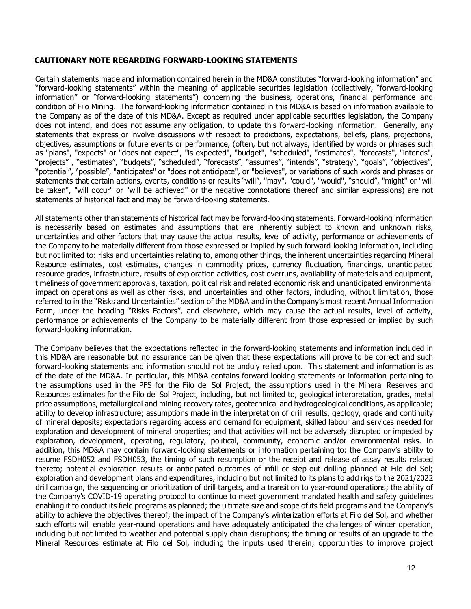#### CAUTIONARY NOTE REGARDING FORWARD-LOOKING STATEMENTS

Certain statements made and information contained herein in the MD&A constitutes "forward-looking information" and "forward-looking statements" within the meaning of applicable securities legislation (collectively, "forward-looking information" or "forward-looking statements") concerning the business, operations, financial performance and condition of Filo Mining. The forward-looking information contained in this MD&A is based on information available to the Company as of the date of this MD&A. Except as required under applicable securities legislation, the Company does not intend, and does not assume any obligation, to update this forward-looking information. Generally, any statements that express or involve discussions with respect to predictions, expectations, beliefs, plans, projections, objectives, assumptions or future events or performance, (often, but not always, identified by words or phrases such as "plans", "expects" or "does not expect", "is expected", "budget", "scheduled", "estimates", "forecasts", "intends", "projects" , "estimates", "budgets", "scheduled", "forecasts", "assumes", "intends", "strategy", "goals", "objectives", "potential", "possible", "anticipates" or "does not anticipate", or "believes", or variations of such words and phrases or statements that certain actions, events, conditions or results "will", "may", "could", "would", "should", "might" or "will be taken", "will occur" or "will be achieved" or the negative connotations thereof and similar expressions) are not statements of historical fact and may be forward-looking statements.

All statements other than statements of historical fact may be forward-looking statements. Forward-looking information is necessarily based on estimates and assumptions that are inherently subject to known and unknown risks, uncertainties and other factors that may cause the actual results, level of activity, performance or achievements of the Company to be materially different from those expressed or implied by such forward-looking information, including but not limited to: risks and uncertainties relating to, among other things, the inherent uncertainties regarding Mineral Resource estimates, cost estimates, changes in commodity prices, currency fluctuation, financings, unanticipated resource grades, infrastructure, results of exploration activities, cost overruns, availability of materials and equipment, timeliness of government approvals, taxation, political risk and related economic risk and unanticipated environmental impact on operations as well as other risks, and uncertainties and other factors, including, without limitation, those referred to in the "Risks and Uncertainties" section of the MD&A and in the Company's most recent Annual Information Form, under the heading "Risks Factors", and elsewhere, which may cause the actual results, level of activity, performance or achievements of the Company to be materially different from those expressed or implied by such forward-looking information.

The Company believes that the expectations reflected in the forward-looking statements and information included in this MD&A are reasonable but no assurance can be given that these expectations will prove to be correct and such forward-looking statements and information should not be unduly relied upon. This statement and information is as of the date of the MD&A. In particular, this MD&A contains forward-looking statements or information pertaining to the assumptions used in the PFS for the Filo del Sol Project, the assumptions used in the Mineral Reserves and Resources estimates for the Filo del Sol Project, including, but not limited to, geological interpretation, grades, metal price assumptions, metallurgical and mining recovery rates, geotechnical and hydrogeological conditions, as applicable; ability to develop infrastructure; assumptions made in the interpretation of drill results, geology, grade and continuity of mineral deposits; expectations regarding access and demand for equipment, skilled labour and services needed for exploration and development of mineral properties; and that activities will not be adversely disrupted or impeded by exploration, development, operating, regulatory, political, community, economic and/or environmental risks. In addition, this MD&A may contain forward-looking statements or information pertaining to: the Company's ability to resume FSDH052 and FSDH053, the timing of such resumption or the receipt and release of assay results related thereto; potential exploration results or anticipated outcomes of infill or step-out drilling planned at Filo del Sol; exploration and development plans and expenditures, including but not limited to its plans to add rigs to the 2021/2022 drill campaign, the sequencing or prioritization of drill targets, and a transition to year-round operations; the ability of the Company's COVID-19 operating protocol to continue to meet government mandated health and safety guidelines enabling it to conduct its field programs as planned; the ultimate size and scope of its field programs and the Company's ability to achieve the objectives thereof; the impact of the Company's winterization efforts at Filo del Sol, and whether such efforts will enable year-round operations and have adequately anticipated the challenges of winter operation, including but not limited to weather and potential supply chain disruptions; the timing or results of an upgrade to the Mineral Resources estimate at Filo del Sol, including the inputs used therein; opportunities to improve project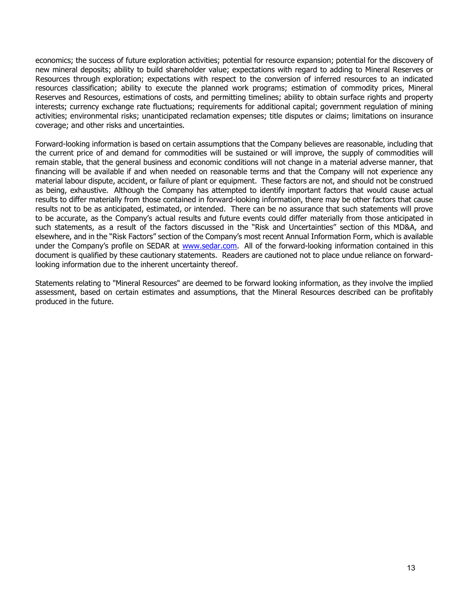economics; the success of future exploration activities; potential for resource expansion; potential for the discovery of new mineral deposits; ability to build shareholder value; expectations with regard to adding to Mineral Reserves or Resources through exploration; expectations with respect to the conversion of inferred resources to an indicated resources classification; ability to execute the planned work programs; estimation of commodity prices, Mineral Reserves and Resources, estimations of costs, and permitting timelines; ability to obtain surface rights and property interests; currency exchange rate fluctuations; requirements for additional capital; government regulation of mining activities; environmental risks; unanticipated reclamation expenses; title disputes or claims; limitations on insurance coverage; and other risks and uncertainties.

Forward-looking information is based on certain assumptions that the Company believes are reasonable, including that the current price of and demand for commodities will be sustained or will improve, the supply of commodities will remain stable, that the general business and economic conditions will not change in a material adverse manner, that financing will be available if and when needed on reasonable terms and that the Company will not experience any material labour dispute, accident, or failure of plant or equipment. These factors are not, and should not be construed as being, exhaustive. Although the Company has attempted to identify important factors that would cause actual results to differ materially from those contained in forward-looking information, there may be other factors that cause results not to be as anticipated, estimated, or intended. There can be no assurance that such statements will prove to be accurate, as the Company's actual results and future events could differ materially from those anticipated in such statements, as a result of the factors discussed in the "Risk and Uncertainties" section of this MD&A, and elsewhere, and in the "Risk Factors" section of the Company's most recent Annual Information Form, which is available under the Company's profile on SEDAR at www.sedar.com. All of the forward-looking information contained in this document is qualified by these cautionary statements. Readers are cautioned not to place undue reliance on forwardlooking information due to the inherent uncertainty thereof.

Statements relating to "Mineral Resources" are deemed to be forward looking information, as they involve the implied assessment, based on certain estimates and assumptions, that the Mineral Resources described can be profitably produced in the future.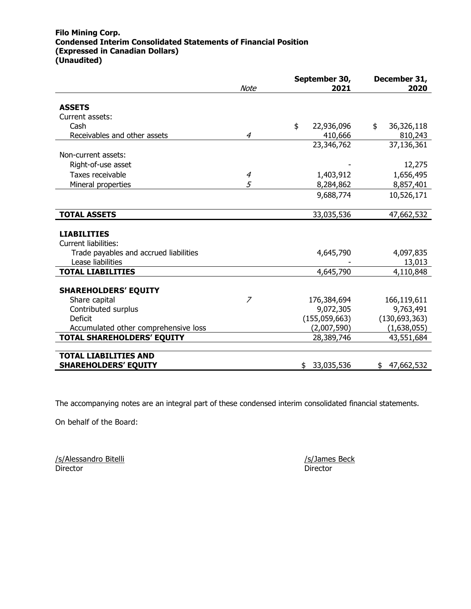#### Filo Mining Corp. Condensed Interim Consolidated Statements of Financial Position (Expressed in Canadian Dollars) (Unaudited)

|                | September 30,    | December 31,                                                                                                                                                                  |  |  |
|----------------|------------------|-------------------------------------------------------------------------------------------------------------------------------------------------------------------------------|--|--|
|                |                  | 2020                                                                                                                                                                          |  |  |
|                |                  |                                                                                                                                                                               |  |  |
|                |                  |                                                                                                                                                                               |  |  |
|                | \$               | \$<br>36,326,118                                                                                                                                                              |  |  |
| $\overline{4}$ | 410,666          | 810,243                                                                                                                                                                       |  |  |
|                | 23,346,762       | 37,136,361                                                                                                                                                                    |  |  |
|                |                  |                                                                                                                                                                               |  |  |
|                |                  | 12,275                                                                                                                                                                        |  |  |
| $\overline{4}$ |                  | 1,656,495                                                                                                                                                                     |  |  |
| 5              |                  | 8,857,401                                                                                                                                                                     |  |  |
|                |                  | 10,526,171                                                                                                                                                                    |  |  |
|                |                  |                                                                                                                                                                               |  |  |
|                | 33,035,536       | 47,662,532                                                                                                                                                                    |  |  |
|                |                  |                                                                                                                                                                               |  |  |
|                |                  |                                                                                                                                                                               |  |  |
|                |                  |                                                                                                                                                                               |  |  |
|                |                  | 4,097,835                                                                                                                                                                     |  |  |
|                |                  | 13,013                                                                                                                                                                        |  |  |
|                |                  | 4,110,848                                                                                                                                                                     |  |  |
|                |                  |                                                                                                                                                                               |  |  |
|                |                  |                                                                                                                                                                               |  |  |
|                |                  | 166,119,611                                                                                                                                                                   |  |  |
|                |                  | 9,763,491                                                                                                                                                                     |  |  |
|                |                  | (130, 693, 363)                                                                                                                                                               |  |  |
|                |                  | (1,638,055)                                                                                                                                                                   |  |  |
|                |                  | 43,551,684                                                                                                                                                                    |  |  |
|                |                  |                                                                                                                                                                               |  |  |
|                |                  | \$47,662,532                                                                                                                                                                  |  |  |
|                | <b>Note</b><br>7 | 2021<br>22,936,096<br>1,403,912<br>8,284,862<br>9,688,774<br>4,645,790<br>4,645,790<br>176,384,694<br>9,072,305<br>(155,059,663)<br>(2,007,590)<br>28,389,746<br>\$33,035,536 |  |  |

The accompanying notes are an integral part of these condensed interim consolidated financial statements.

On behalf of the Board:

/s/Alessandro Bitelli /s/James Beck Director Director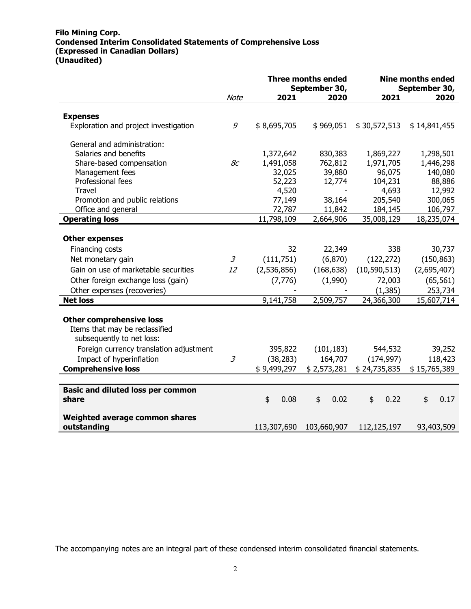## Filo Mining Corp. Condensed Interim Consolidated Statements of Comprehensive Loss (Expressed in Canadian Dollars) (Unaudited)

|                                                       |                |                                        | <b>Three months ended</b><br>September 30, |                       | <b>Nine months ended</b><br>September 30, |
|-------------------------------------------------------|----------------|----------------------------------------|--------------------------------------------|-----------------------|-------------------------------------------|
|                                                       | Note           | 2021                                   | 2020                                       | 2021                  | 2020                                      |
| <b>Expenses</b>                                       |                |                                        |                                            |                       |                                           |
| Exploration and project investigation                 | 9              | \$8,695,705                            | \$969,051                                  | \$30,572,513          | \$14,841,455                              |
| General and administration:                           |                |                                        |                                            |                       |                                           |
| Salaries and benefits                                 |                | 1,372,642                              | 830,383                                    | 1,869,227             | 1,298,501                                 |
| Share-based compensation                              | 8c             | 1,491,058                              | 762,812                                    | 1,971,705             | 1,446,298                                 |
| Management fees                                       |                | 32,025                                 | 39,880                                     | 96,075                | 140,080                                   |
| Professional fees                                     |                | 52,223                                 | 12,774                                     | 104,231               | 88,886                                    |
| Travel                                                |                | 4,520                                  | $\overline{\phantom{a}}$                   | 4,693                 | 12,992                                    |
| Promotion and public relations                        |                | 77,149                                 | 38,164                                     | 205,540               | 300,065                                   |
| Office and general                                    |                | 72,787                                 | 11,842                                     | 184,145               | 106,797                                   |
| <b>Operating loss</b>                                 |                | 11,798,109                             | 2,664,906                                  | 35,008,129            | 18,235,074                                |
|                                                       |                |                                        |                                            |                       |                                           |
| <b>Other expenses</b>                                 |                |                                        |                                            |                       |                                           |
| Financing costs                                       |                | 32                                     | 22,349                                     | 338                   | 30,737                                    |
| Net monetary gain                                     | $\mathfrak{Z}$ | (111, 751)                             | (6, 870)                                   | (122, 272)            | (150, 863)                                |
| Gain on use of marketable securities                  | 12             | (2,536,856)                            | (168, 638)                                 | (10, 590, 513)        | (2,695,407)                               |
| Other foreign exchange loss (gain)                    |                | (7, 776)                               | (1,990)                                    | 72,003                | (65, 561)                                 |
| Other expenses (recoveries)                           |                |                                        |                                            | (1, 385)              | 253,734                                   |
| <b>Net loss</b>                                       |                | 9,141,758                              | 2,509,757                                  | 24,366,300            | 15,607,714                                |
|                                                       |                |                                        |                                            |                       |                                           |
| <b>Other comprehensive loss</b>                       |                |                                        |                                            |                       |                                           |
| Items that may be reclassified                        |                |                                        |                                            |                       |                                           |
| subsequently to net loss:                             |                |                                        |                                            |                       |                                           |
| Foreign currency translation adjustment               |                | 395,822                                | (101, 183)                                 | 544,532               | 39,252                                    |
|                                                       | $\mathfrak{Z}$ |                                        |                                            |                       |                                           |
| Impact of hyperinflation<br><b>Comprehensive loss</b> |                | (38, 283)<br>$\overline{\$}$ 9,499,297 | 164,707<br>\$2,573,281                     | (174, 997)            | 118,423<br>\$15,765,389                   |
|                                                       |                |                                        |                                            | \$24,735,835          |                                           |
|                                                       |                |                                        |                                            |                       |                                           |
| <b>Basic and diluted loss per common</b>              |                |                                        |                                            |                       |                                           |
| share                                                 |                | \$<br>0.08                             | \$<br>0.02                                 | 0.22<br>$\frac{1}{2}$ | \$<br>0.17                                |
|                                                       |                |                                        |                                            |                       |                                           |
| Weighted average common shares<br>outstanding         |                | 113,307,690                            | 103,660,907                                | 112,125,197           | 93,403,509                                |

The accompanying notes are an integral part of these condensed interim consolidated financial statements.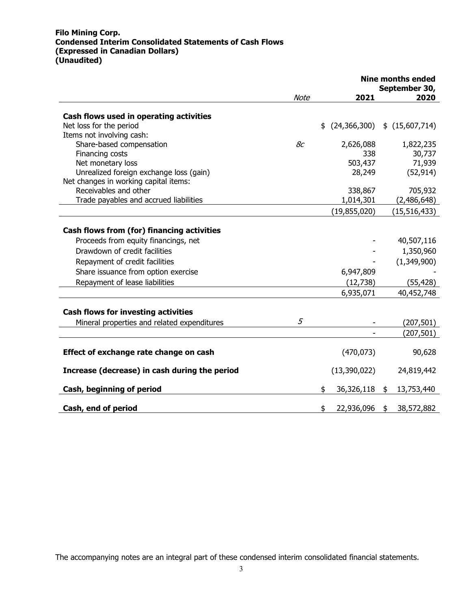## Filo Mining Corp. Condensed Interim Consolidated Statements of Cash Flows (Expressed in Canadian Dollars) (Unaudited)

|                                                   |             |                      | <b>Nine months ended</b> |
|---------------------------------------------------|-------------|----------------------|--------------------------|
|                                                   | <b>Note</b> | 2021                 | September 30,<br>2020    |
|                                                   |             |                      |                          |
| Cash flows used in operating activities           |             |                      |                          |
| Net loss for the period                           |             | \$<br>(24, 366, 300) | \$(15,607,714)           |
| Items not involving cash:                         |             |                      |                          |
| Share-based compensation                          | 8c          | 2,626,088            | 1,822,235                |
| Financing costs                                   |             | 338                  | 30,737                   |
| Net monetary loss                                 |             | 503,437              | 71,939                   |
| Unrealized foreign exchange loss (gain)           |             | 28,249               | (52, 914)                |
| Net changes in working capital items:             |             |                      |                          |
| Receivables and other                             |             | 338,867              | 705,932                  |
| Trade payables and accrued liabilities            |             | 1,014,301            | (2,486,648)              |
|                                                   |             | (19, 855, 020)       | (15, 516, 433)           |
|                                                   |             |                      |                          |
| <b>Cash flows from (for) financing activities</b> |             |                      |                          |
| Proceeds from equity financings, net              |             |                      | 40,507,116               |
| Drawdown of credit facilities                     |             |                      | 1,350,960                |
| Repayment of credit facilities                    |             |                      | (1,349,900)              |
| Share issuance from option exercise               |             | 6,947,809            |                          |
| Repayment of lease liabilities                    |             | (12, 738)            | (55, 428)                |
|                                                   |             | 6,935,071            | 40,452,748               |
|                                                   |             |                      |                          |
| <b>Cash flows for investing activities</b>        |             |                      |                          |
| Mineral properties and related expenditures       | 5           |                      | (207, 501)               |
|                                                   |             |                      | (207, 501)               |
|                                                   |             |                      |                          |
| Effect of exchange rate change on cash            |             | (470, 073)           | 90,628                   |
|                                                   |             |                      |                          |
| Increase (decrease) in cash during the period     |             | (13,390,022)         | 24,819,442               |
|                                                   |             | \$                   |                          |
| Cash, beginning of period                         |             | 36,326,118           | \$<br>13,753,440         |
| Cash, end of period                               |             | \$<br>22,936,096     | \$<br>38,572,882         |

The accompanying notes are an integral part of these condensed interim consolidated financial statements.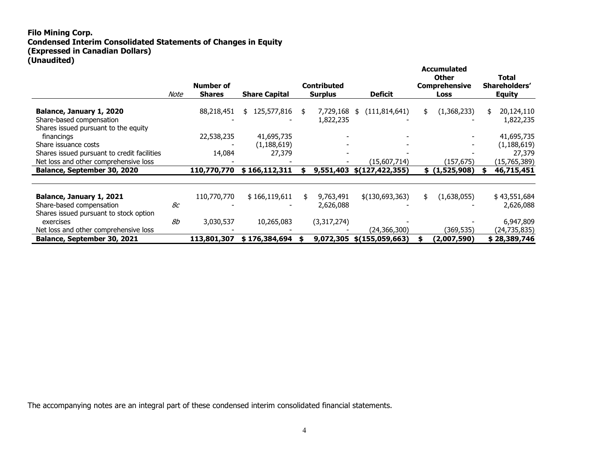## Filo Mining Corp. Condensed Interim Consolidated Statements of Changes in Equity (Expressed in Canadian Dollars) (Unaudited)

|                                                                                                              | Note | Number of<br><b>Shares</b> | <b>Share Capital</b>    |    | <b>Contributed</b><br><b>Surplus</b> | <b>Deficit</b>        | <b>Accumulated</b><br><b>Other</b><br><b>Comprehensive</b><br>Loss | <b>Total</b><br>Shareholders'<br><b>Equity</b> |
|--------------------------------------------------------------------------------------------------------------|------|----------------------------|-------------------------|----|--------------------------------------|-----------------------|--------------------------------------------------------------------|------------------------------------------------|
| Balance, January 1, 2020<br>Share-based compensation                                                         |      | 88,218,451                 | 125,577,816<br>\$.      | \$ | 7,729,168<br>1,822,235               | (111, 814, 641)<br>\$ | \$<br>(1,368,233)                                                  | \$<br>20,124,110<br>1,822,235                  |
| Shares issued pursuant to the equity<br>financings                                                           |      | 22,538,235                 | 41,695,735              |    |                                      |                       |                                                                    | 41,695,735                                     |
| Share issuance costs<br>Shares issued pursuant to credit facilities<br>Net loss and other comprehensive loss |      | 14,084                     | (1, 188, 619)<br>27,379 |    |                                      | (15,607,714)          | (157,675)                                                          | (1, 188, 619)<br>27,379<br>(15,765,389)        |
| <b>Balance, September 30, 2020</b>                                                                           |      | 110,770,770                | \$166,112,311           | S  | 9,551,403                            | \$(127, 422, 355)     | \$ (1,525,908)                                                     | 46,715,451                                     |
| Balance, January 1, 2021<br>Share-based compensation<br>Shares issued pursuant to stock option               | 8c   | 110,770,770                | \$166,119,611           | \$ | 9,763,491<br>2,626,088               | \$(130,693,363)       | \$<br>(1,638,055)                                                  | \$43,551,684<br>2,626,088                      |
| exercises<br>Net loss and other comprehensive loss                                                           | 8b   | 3,030,537                  | 10,265,083              |    | (3,317,274)                          | (24,366,300)          | (369,535)                                                          | 6,947,809<br>(24,735,835)                      |
| <b>Balance, September 30, 2021</b>                                                                           |      | 113,801,307                | \$176,384,694           |    | 9,072,305                            | \$(155,059,663)       | (2,007,590)                                                        | \$28,389,746                                   |

The accompanying notes are an integral part of these condensed interim consolidated financial statements.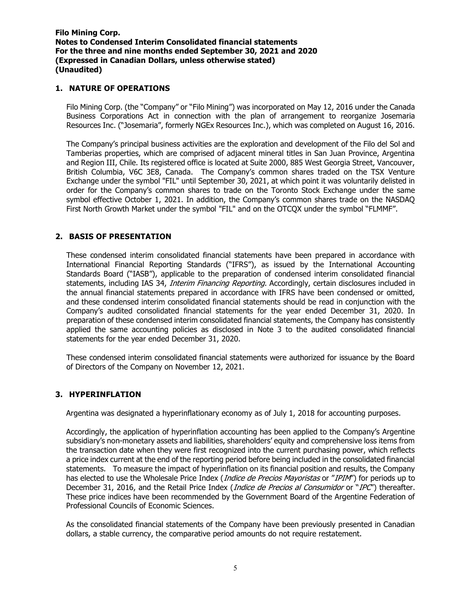### 1. NATURE OF OPERATIONS

Filo Mining Corp. (the "Company" or "Filo Mining") was incorporated on May 12, 2016 under the Canada Business Corporations Act in connection with the plan of arrangement to reorganize Josemaria Resources Inc. ("Josemaria", formerly NGEx Resources Inc.), which was completed on August 16, 2016.

The Company's principal business activities are the exploration and development of the Filo del Sol and Tamberias properties, which are comprised of adjacent mineral titles in San Juan Province, Argentina and Region III, Chile. Its registered office is located at Suite 2000, 885 West Georgia Street, Vancouver, British Columbia, V6C 3E8, Canada. The Company's common shares traded on the TSX Venture Exchange under the symbol "FIL" until September 30, 2021, at which point it was voluntarily delisted in order for the Company's common shares to trade on the Toronto Stock Exchange under the same symbol effective October 1, 2021. In addition, the Company's common shares trade on the NASDAQ First North Growth Market under the symbol "FIL" and on the OTCQX under the symbol "FLMMF".

## 2. BASIS OF PRESENTATION

These condensed interim consolidated financial statements have been prepared in accordance with International Financial Reporting Standards ("IFRS"), as issued by the International Accounting Standards Board ("IASB"), applicable to the preparation of condensed interim consolidated financial statements, including IAS 34, Interim Financing Reporting. Accordingly, certain disclosures included in the annual financial statements prepared in accordance with IFRS have been condensed or omitted, and these condensed interim consolidated financial statements should be read in conjunction with the Company's audited consolidated financial statements for the year ended December 31, 2020. In preparation of these condensed interim consolidated financial statements, the Company has consistently applied the same accounting policies as disclosed in Note 3 to the audited consolidated financial statements for the year ended December 31, 2020.

These condensed interim consolidated financial statements were authorized for issuance by the Board of Directors of the Company on November 12, 2021.

### 3. HYPERINFLATION

Argentina was designated a hyperinflationary economy as of July 1, 2018 for accounting purposes.

Accordingly, the application of hyperinflation accounting has been applied to the Company's Argentine subsidiary's non-monetary assets and liabilities, shareholders' equity and comprehensive loss items from the transaction date when they were first recognized into the current purchasing power, which reflects a price index current at the end of the reporting period before being included in the consolidated financial statements. To measure the impact of hyperinflation on its financial position and results, the Company has elected to use the Wholesale Price Index (*Indice de Precios Mayoristas* or "IPIM") for periods up to December 31, 2016, and the Retail Price Index (*Indice de Precios al Consumidor* or "IPC") thereafter. These price indices have been recommended by the Government Board of the Argentine Federation of Professional Councils of Economic Sciences.

As the consolidated financial statements of the Company have been previously presented in Canadian dollars, a stable currency, the comparative period amounts do not require restatement.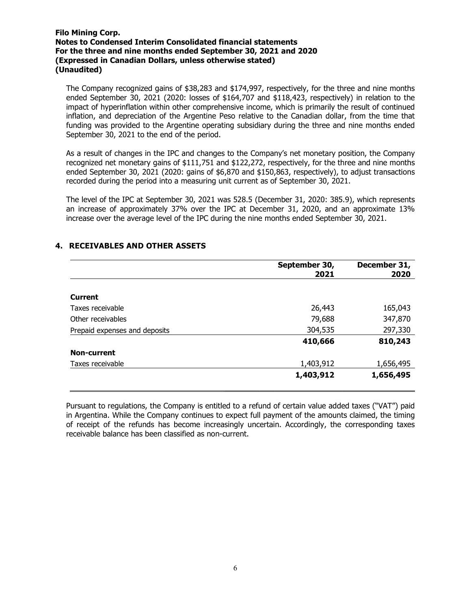The Company recognized gains of \$38,283 and \$174,997, respectively, for the three and nine months ended September 30, 2021 (2020: losses of \$164,707 and \$118,423, respectively) in relation to the impact of hyperinflation within other comprehensive income, which is primarily the result of continued inflation, and depreciation of the Argentine Peso relative to the Canadian dollar, from the time that funding was provided to the Argentine operating subsidiary during the three and nine months ended September 30, 2021 to the end of the period.

As a result of changes in the IPC and changes to the Company's net monetary position, the Company recognized net monetary gains of \$111,751 and \$122,272, respectively, for the three and nine months ended September 30, 2021 (2020: gains of \$6,870 and \$150,863, respectively), to adjust transactions recorded during the period into a measuring unit current as of September 30, 2021.

The level of the IPC at September 30, 2021 was 528.5 (December 31, 2020: 385.9), which represents an increase of approximately 37% over the IPC at December 31, 2020, and an approximate 13% increase over the average level of the IPC during the nine months ended September 30, 2021.

| September 30,<br>2021 | December 31,<br>2020 |
|-----------------------|----------------------|
|                       |                      |
|                       |                      |
| 26,443                | 165,043              |
| 79,688                | 347,870              |
| 304,535               | 297,330              |
| 410,666               | 810,243              |
|                       |                      |
| 1,403,912             | 1,656,495            |
| 1,403,912             | 1,656,495            |
|                       |                      |

# 4. RECEIVABLES AND OTHER ASSETS

Pursuant to regulations, the Company is entitled to a refund of certain value added taxes ("VAT") paid in Argentina. While the Company continues to expect full payment of the amounts claimed, the timing of receipt of the refunds has become increasingly uncertain. Accordingly, the corresponding taxes receivable balance has been classified as non-current.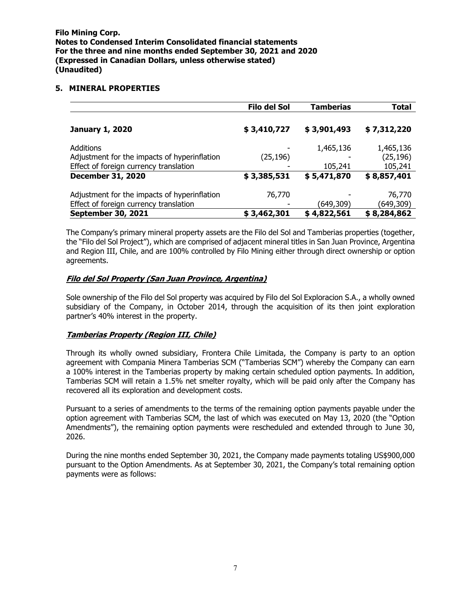#### 5. MINERAL PROPERTIES

|                                              | Filo del Sol | <b>Tamberias</b> | Total       |
|----------------------------------------------|--------------|------------------|-------------|
|                                              |              |                  |             |
| <b>January 1, 2020</b>                       | \$3,410,727  | \$3,901,493      | \$7,312,220 |
| Additions                                    |              | 1,465,136        | 1,465,136   |
| Adjustment for the impacts of hyperinflation | (25, 196)    |                  | (25, 196)   |
| Effect of foreign currency translation       |              | 105,241          | 105,241     |
| <b>December 31, 2020</b>                     | \$3,385,531  | \$5,471,870      | \$8,857,401 |
| Adjustment for the impacts of hyperinflation | 76,770       |                  | 76,770      |
| Effect of foreign currency translation       |              | (649,309)        | (649, 309)  |
| <b>September 30, 2021</b>                    | \$3,462,301  | \$4,822,561      | \$8,284,862 |

The Company's primary mineral property assets are the Filo del Sol and Tamberias properties (together, the "Filo del Sol Project"), which are comprised of adjacent mineral titles in San Juan Province, Argentina and Region III, Chile, and are 100% controlled by Filo Mining either through direct ownership or option agreements.

### Filo del Sol Property (San Juan Province, Argentina)

Sole ownership of the Filo del Sol property was acquired by Filo del Sol Exploracion S.A., a wholly owned subsidiary of the Company, in October 2014, through the acquisition of its then joint exploration partner's 40% interest in the property.

### Tamberias Property (Region III, Chile)

Through its wholly owned subsidiary, Frontera Chile Limitada, the Company is party to an option agreement with Compania Minera Tamberias SCM ("Tamberias SCM") whereby the Company can earn a 100% interest in the Tamberias property by making certain scheduled option payments. In addition, Tamberias SCM will retain a 1.5% net smelter royalty, which will be paid only after the Company has recovered all its exploration and development costs.

Pursuant to a series of amendments to the terms of the remaining option payments payable under the option agreement with Tamberias SCM, the last of which was executed on May 13, 2020 (the "Option Amendments"), the remaining option payments were rescheduled and extended through to June 30, 2026.

During the nine months ended September 30, 2021, the Company made payments totaling US\$900,000 pursuant to the Option Amendments. As at September 30, 2021, the Company's total remaining option payments were as follows: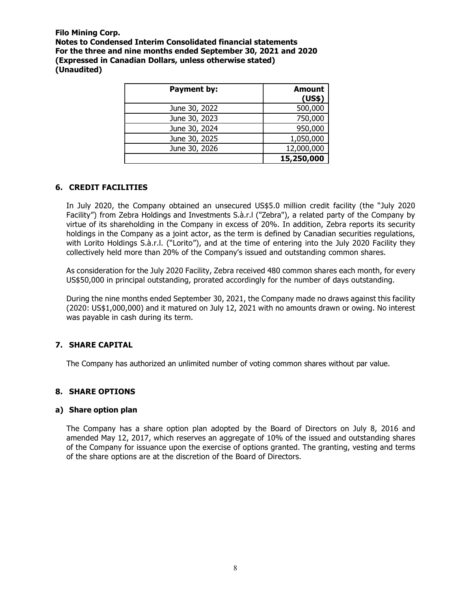| Payment by:   | <b>Amount</b><br>(US\$) |
|---------------|-------------------------|
| June 30, 2022 | 500,000                 |
| June 30, 2023 | 750,000                 |
| June 30, 2024 | 950,000                 |
| June 30, 2025 | 1,050,000               |
| June 30, 2026 | 12,000,000              |
|               | 15,250,000              |

### 6. CREDIT FACILITIES

In July 2020, the Company obtained an unsecured US\$5.0 million credit facility (the "July 2020 Facility") from Zebra Holdings and Investments S.à.r.l ("Zebra"), a related party of the Company by virtue of its shareholding in the Company in excess of 20%. In addition, Zebra reports its security holdings in the Company as a joint actor, as the term is defined by Canadian securities regulations, with Lorito Holdings S.à.r.l. ("Lorito"), and at the time of entering into the July 2020 Facility they collectively held more than 20% of the Company's issued and outstanding common shares.

As consideration for the July 2020 Facility, Zebra received 480 common shares each month, for every US\$50,000 in principal outstanding, prorated accordingly for the number of days outstanding.

During the nine months ended September 30, 2021, the Company made no draws against this facility (2020: US\$1,000,000) and it matured on July 12, 2021 with no amounts drawn or owing. No interest was payable in cash during its term.

# 7. SHARE CAPITAL

The Company has authorized an unlimited number of voting common shares without par value.

### 8. SHARE OPTIONS

#### a) Share option plan

The Company has a share option plan adopted by the Board of Directors on July 8, 2016 and amended May 12, 2017, which reserves an aggregate of 10% of the issued and outstanding shares of the Company for issuance upon the exercise of options granted. The granting, vesting and terms of the share options are at the discretion of the Board of Directors.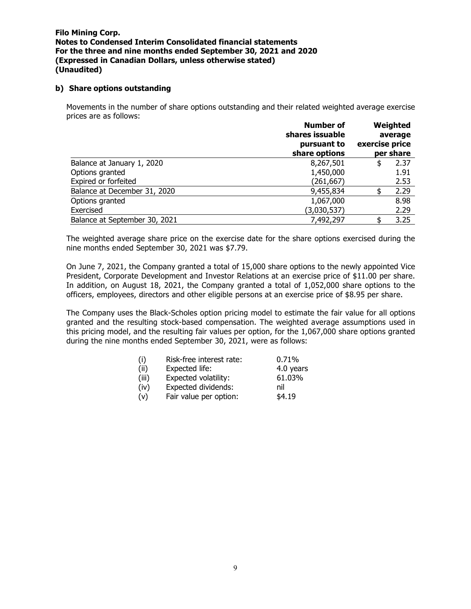#### b) Share options outstanding

Movements in the number of share options outstanding and their related weighted average exercise prices are as follows:

|                               | <b>Number of</b><br>shares issuable<br>pursuant to<br>share options | exercise price | Weighted<br>average<br>per share |
|-------------------------------|---------------------------------------------------------------------|----------------|----------------------------------|
| Balance at January 1, 2020    | 8,267,501                                                           | S              | 2.37                             |
| Options granted               | 1,450,000                                                           |                | 1.91                             |
| Expired or forfeited          | (261,667)                                                           |                | 2.53                             |
| Balance at December 31, 2020  | 9,455,834                                                           |                | 2.29                             |
| Options granted               | 1,067,000                                                           |                | 8.98                             |
| Exercised                     | (3,030,537)                                                         |                | 2.29                             |
| Balance at September 30, 2021 | 7,492,297                                                           |                | 3.25                             |

The weighted average share price on the exercise date for the share options exercised during the nine months ended September 30, 2021 was \$7.79.

On June 7, 2021, the Company granted a total of 15,000 share options to the newly appointed Vice President, Corporate Development and Investor Relations at an exercise price of \$11.00 per share. In addition, on August 18, 2021, the Company granted a total of 1,052,000 share options to the officers, employees, directors and other eligible persons at an exercise price of \$8.95 per share.

The Company uses the Black-Scholes option pricing model to estimate the fair value for all options granted and the resulting stock-based compensation. The weighted average assumptions used in this pricing model, and the resulting fair values per option, for the 1,067,000 share options granted during the nine months ended September 30, 2021, were as follows: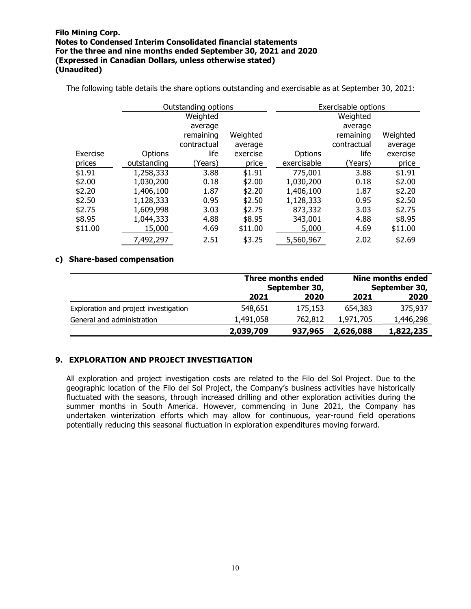|          | Outstanding options |             |          | Exercisable options |             |          |
|----------|---------------------|-------------|----------|---------------------|-------------|----------|
|          |                     | Weighted    |          |                     | Weighted    |          |
|          |                     | average     |          |                     | average     |          |
|          |                     | remaining   | Weighted |                     | remaining   | Weighted |
|          |                     | contractual | average  |                     | contractual | average  |
| Exercise | Options             | life        | exercise | Options             | life        | exercise |
| prices   | outstanding         | (Years)     | price    | exercisable         | (Years)     | price    |
| \$1.91   | 1,258,333           | 3.88        | \$1.91   | 775,001             | 3.88        | \$1.91   |
| \$2.00   | 1,030,200           | 0.18        | \$2.00   | 1,030,200           | 0.18        | \$2.00   |
| \$2.20   | 1,406,100           | 1.87        | \$2.20   | 1,406,100           | 1.87        | \$2.20   |
| \$2.50   | 1,128,333           | 0.95        | \$2.50   | 1,128,333           | 0.95        | \$2.50   |
| \$2.75   | 1,609,998           | 3.03        | \$2.75   | 873,332             | 3.03        | \$2.75   |
| \$8.95   | 1,044,333           | 4.88        | \$8.95   | 343,001             | 4.88        | \$8.95   |
| \$11.00  | 15,000              | 4.69        | \$11.00  | 5,000               | 4.69        | \$11.00  |
|          | 7,492,297           | 2.51        | \$3.25   | 5,560,967           | 2.02        | \$2.69   |

The following table details the share options outstanding and exercisable as at September 30, 2021:

#### c) Share-based compensation

|                                       | Three months ended<br>September 30, |         |           |           | Nine months ended<br>September 30, |
|---------------------------------------|-------------------------------------|---------|-----------|-----------|------------------------------------|
|                                       | 2021                                | 2020    | 2021      | 2020      |                                    |
| Exploration and project investigation | 548,651                             | 175,153 | 654,383   | 375,937   |                                    |
| General and administration            | 1,491,058                           | 762,812 | 1,971,705 | 1,446,298 |                                    |
|                                       | 2,039,709                           | 937,965 | 2,626,088 | 1,822,235 |                                    |

#### 9. EXPLORATION AND PROJECT INVESTIGATION

All exploration and project investigation costs are related to the Filo del Sol Project. Due to the geographic location of the Filo del Sol Project, the Company's business activities have historically fluctuated with the seasons, through increased drilling and other exploration activities during the summer months in South America. However, commencing in June 2021, the Company has undertaken winterization efforts which may allow for continuous, year-round field operations potentially reducing this seasonal fluctuation in exploration expenditures moving forward.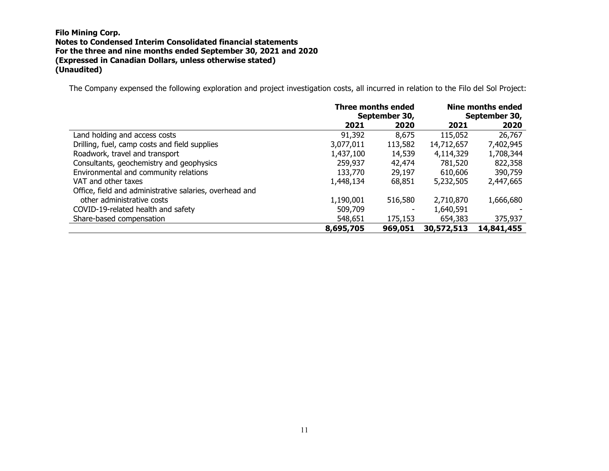The Company expensed the following exploration and project investigation costs, all incurred in relation to the Filo del Sol Project:

|                                                         | Three months ended<br>September 30, |         |            | Nine months ended<br>September 30, |
|---------------------------------------------------------|-------------------------------------|---------|------------|------------------------------------|
|                                                         | 2021                                | 2020    | 2021       | 2020                               |
| Land holding and access costs                           | 91,392                              | 8,675   | 115,052    | 26,767                             |
| Drilling, fuel, camp costs and field supplies           | 3,077,011                           | 113,582 | 14,712,657 | 7,402,945                          |
| Roadwork, travel and transport                          | 1,437,100                           | 14,539  | 4,114,329  | 1,708,344                          |
| Consultants, geochemistry and geophysics                | 259,937                             | 42,474  | 781,520    | 822,358                            |
| Environmental and community relations                   | 133,770                             | 29,197  | 610,606    | 390,759                            |
| VAT and other taxes                                     | 1,448,134                           | 68,851  | 5,232,505  | 2,447,665                          |
| Office, field and administrative salaries, overhead and |                                     |         |            |                                    |
| other administrative costs                              | 1,190,001                           | 516,580 | 2,710,870  | 1,666,680                          |
| COVID-19-related health and safety                      | 509,709                             | ۰       | 1,640,591  |                                    |
| Share-based compensation                                | 548,651                             | 175,153 | 654,383    | 375,937                            |
|                                                         | 8,695,705                           | 969,051 | 30,572,513 | 14,841,455                         |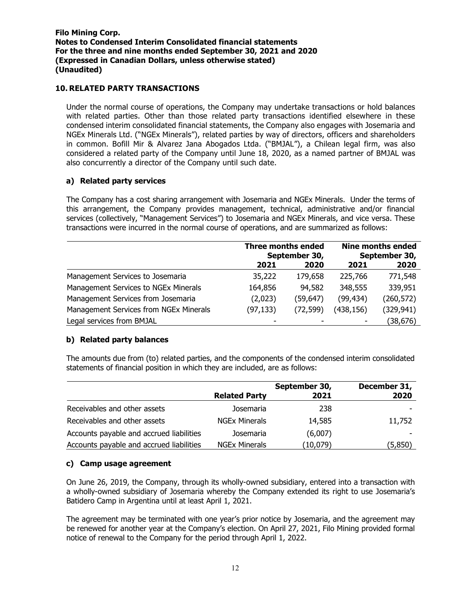## 10. RELATED PARTY TRANSACTIONS

Under the normal course of operations, the Company may undertake transactions or hold balances with related parties. Other than those related party transactions identified elsewhere in these condensed interim consolidated financial statements, the Company also engages with Josemaria and NGEx Minerals Ltd. ("NGEx Minerals"), related parties by way of directors, officers and shareholders in common. Bofill Mir & Alvarez Jana Abogados Ltda. ("BMJAL"), a Chilean legal firm, was also considered a related party of the Company until June 18, 2020, as a named partner of BMJAL was also concurrently a director of the Company until such date.

### a) Related party services

The Company has a cost sharing arrangement with Josemaria and NGEx Minerals. Under the terms of this arrangement, the Company provides management, technical, administrative and/or financial services (collectively, "Management Services") to Josemaria and NGEx Minerals, and vice versa. These transactions were incurred in the normal course of operations, and are summarized as follows:

|                                        | <b>Three months ended</b><br>September 30, |           | <b>Nine months ended</b><br>September 30, |            |
|----------------------------------------|--------------------------------------------|-----------|-------------------------------------------|------------|
|                                        | 2021                                       | 2020      | 2021                                      | 2020       |
| Management Services to Josemaria       | 35,222                                     | 179,658   | 225,766                                   | 771,548    |
| Management Services to NGEx Minerals   | 164,856                                    | 94,582    | 348,555                                   | 339,951    |
| Management Services from Josemaria     | (2,023)                                    | (59,647)  | (99, 434)                                 | (260, 572) |
| Management Services from NGEx Minerals | (97, 133)                                  | (72, 599) | (438, 156)                                | (329, 941) |
| Legal services from BMJAL              |                                            |           |                                           | (38,676)   |

# b) Related party balances

The amounts due from (to) related parties, and the components of the condensed interim consolidated statements of financial position in which they are included, are as follows:

|                                          |                      | September 30, | December 31, |
|------------------------------------------|----------------------|---------------|--------------|
|                                          | <b>Related Party</b> | 2021          | 2020         |
| Receivables and other assets             | Josemaria            | 238           |              |
| Receivables and other assets             | <b>NGEx Minerals</b> | 14,585        | 11,752       |
| Accounts payable and accrued liabilities | Josemaria            | (6,007)       |              |
| Accounts payable and accrued liabilities | <b>NGEx Minerals</b> | (10,079)      | (5,850)      |

### c) Camp usage agreement

On June 26, 2019, the Company, through its wholly-owned subsidiary, entered into a transaction with a wholly-owned subsidiary of Josemaria whereby the Company extended its right to use Josemaria's Batidero Camp in Argentina until at least April 1, 2021.

The agreement may be terminated with one year's prior notice by Josemaria, and the agreement may be renewed for another year at the Company's election. On April 27, 2021, Filo Mining provided formal notice of renewal to the Company for the period through April 1, 2022.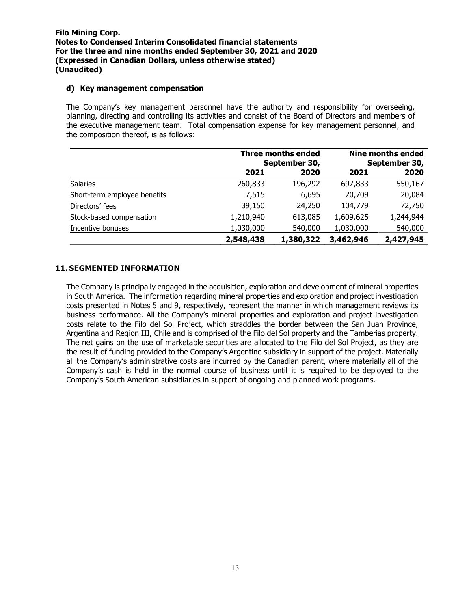#### d) Key management compensation

The Company's key management personnel have the authority and responsibility for overseeing, planning, directing and controlling its activities and consist of the Board of Directors and members of the executive management team. Total compensation expense for key management personnel, and the composition thereof, is as follows:

|                              |           | <b>Three months ended</b><br>September 30, |           | <b>Nine months ended</b><br>September 30, |
|------------------------------|-----------|--------------------------------------------|-----------|-------------------------------------------|
|                              | 2021      | 2020                                       | 2021      | 2020                                      |
| <b>Salaries</b>              | 260,833   | 196,292                                    | 697,833   | 550,167                                   |
| Short-term employee benefits | 7,515     | 6,695                                      | 20,709    | 20,084                                    |
| Directors' fees              | 39,150    | 24,250                                     | 104,779   | 72,750                                    |
| Stock-based compensation     | 1,210,940 | 613,085                                    | 1,609,625 | 1,244,944                                 |
| Incentive bonuses            | 1,030,000 | 540,000                                    | 1,030,000 | 540,000                                   |
|                              | 2,548,438 | 1,380,322                                  | 3,462,946 | 2,427,945                                 |

## 11. SEGMENTED INFORMATION

The Company is principally engaged in the acquisition, exploration and development of mineral properties in South America. The information regarding mineral properties and exploration and project investigation costs presented in Notes 5 and 9, respectively, represent the manner in which management reviews its business performance. All the Company's mineral properties and exploration and project investigation costs relate to the Filo del Sol Project, which straddles the border between the San Juan Province, Argentina and Region III, Chile and is comprised of the Filo del Sol property and the Tamberias property. The net gains on the use of marketable securities are allocated to the Filo del Sol Project, as they are the result of funding provided to the Company's Argentine subsidiary in support of the project. Materially all the Company's administrative costs are incurred by the Canadian parent, where materially all of the Company's cash is held in the normal course of business until it is required to be deployed to the Company's South American subsidiaries in support of ongoing and planned work programs.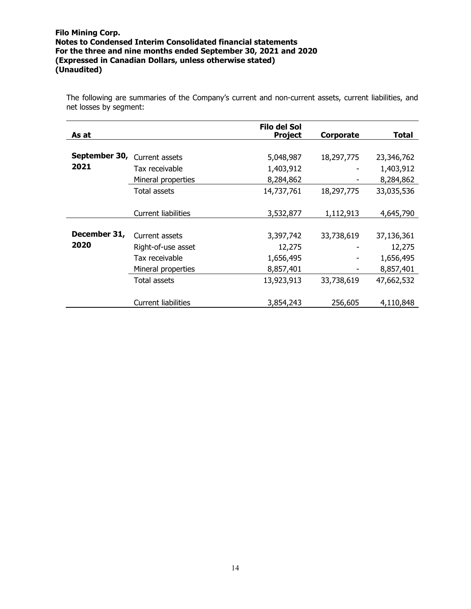The following are summaries of the Company's current and non-current assets, current liabilities, and net losses by segment:

| As at         |                            | Filo del Sol<br><b>Project</b> | Corporate  | Total      |
|---------------|----------------------------|--------------------------------|------------|------------|
|               |                            |                                |            |            |
| September 30, | Current assets             | 5,048,987                      | 18,297,775 | 23,346,762 |
| 2021          | Tax receivable             | 1,403,912                      |            | 1,403,912  |
|               | Mineral properties         | 8,284,862                      |            | 8,284,862  |
|               | Total assets               | 14,737,761                     | 18,297,775 | 33,035,536 |
|               |                            |                                |            |            |
|               | Current liabilities        | 3,532,877                      | 1,112,913  | 4,645,790  |
|               |                            |                                |            |            |
| December 31,  | Current assets             | 3,397,742                      | 33,738,619 | 37,136,361 |
| 2020          | Right-of-use asset         | 12,275                         |            | 12,275     |
|               | Tax receivable             | 1,656,495                      |            | 1,656,495  |
|               | Mineral properties         | 8,857,401                      |            | 8,857,401  |
|               | Total assets               | 13,923,913                     | 33,738,619 | 47,662,532 |
|               |                            |                                |            |            |
|               | <b>Current liabilities</b> | 3,854,243                      | 256,605    | 4,110,848  |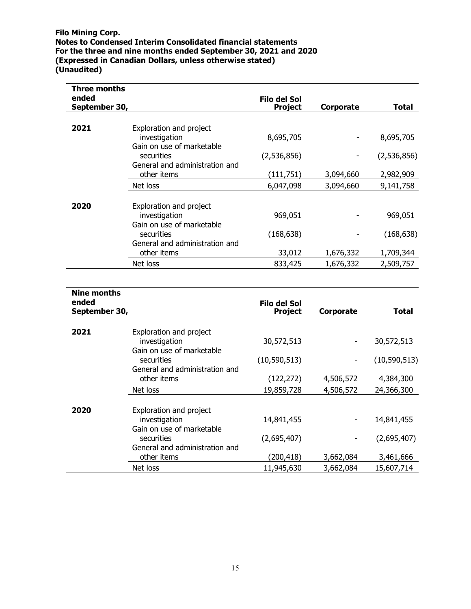| Three months<br>ended<br>September 30, |                                                                       | Filo del Sol<br><b>Project</b> | Corporate | Total       |
|----------------------------------------|-----------------------------------------------------------------------|--------------------------------|-----------|-------------|
|                                        |                                                                       |                                |           |             |
| 2021                                   | Exploration and project<br>investigation<br>Gain on use of marketable | 8,695,705                      |           | 8,695,705   |
|                                        | securities<br>General and administration and                          | (2,536,856)                    |           | (2,536,856) |
|                                        | other items                                                           | (111, 751)                     | 3,094,660 | 2,982,909   |
|                                        | Net loss                                                              | 6,047,098                      | 3,094,660 | 9,141,758   |
| 2020                                   | Exploration and project<br>investigation                              | 969,051                        |           | 969,051     |
|                                        | Gain on use of marketable                                             |                                |           |             |
|                                        | securities<br>General and administration and                          | (168, 638)                     |           | (168, 638)  |
|                                        | other items                                                           | 33,012                         | 1,676,332 | 1,709,344   |
|                                        | Net loss                                                              | 833,425                        | 1,676,332 | 2,509,757   |

| Nine months            |                                                                       |                                |           |                |
|------------------------|-----------------------------------------------------------------------|--------------------------------|-----------|----------------|
| ended<br>September 30, |                                                                       | Filo del Sol<br><b>Project</b> | Corporate | Total          |
|                        |                                                                       |                                |           |                |
| 2021                   | Exploration and project<br>investigation<br>Gain on use of marketable | 30,572,513                     | ۰         | 30,572,513     |
|                        | securities<br>General and administration and                          | (10,590,513)                   | ٠         | (10, 590, 513) |
|                        | other items                                                           | (122,272)                      | 4,506,572 | 4,384,300      |
|                        | Net loss                                                              | 19,859,728                     | 4,506,572 | 24,366,300     |
| 2020                   | Exploration and project                                               |                                |           |                |
|                        | investigation<br>Gain on use of marketable                            | 14,841,455                     | ۰         | 14,841,455     |
|                        | securities<br>General and administration and                          | (2,695,407)                    | ٠         | (2,695,407)    |
|                        | other items                                                           | (200, 418)                     | 3,662,084 | 3,461,666      |
|                        | Net loss                                                              | 11,945,630                     | 3,662,084 | 15,607,714     |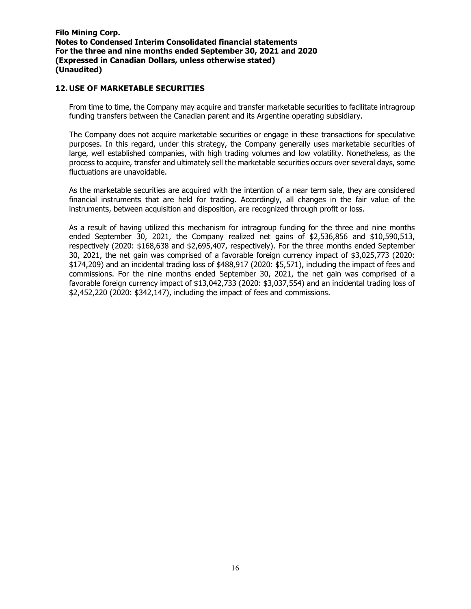#### 12. USE OF MARKETABLE SECURITIES

From time to time, the Company may acquire and transfer marketable securities to facilitate intragroup funding transfers between the Canadian parent and its Argentine operating subsidiary.

The Company does not acquire marketable securities or engage in these transactions for speculative purposes. In this regard, under this strategy, the Company generally uses marketable securities of large, well established companies, with high trading volumes and low volatility. Nonetheless, as the process to acquire, transfer and ultimately sell the marketable securities occurs over several days, some fluctuations are unavoidable.

As the marketable securities are acquired with the intention of a near term sale, they are considered financial instruments that are held for trading. Accordingly, all changes in the fair value of the instruments, between acquisition and disposition, are recognized through profit or loss.

As a result of having utilized this mechanism for intragroup funding for the three and nine months ended September 30, 2021, the Company realized net gains of \$2,536,856 and \$10,590,513, respectively (2020: \$168,638 and \$2,695,407, respectively). For the three months ended September 30, 2021, the net gain was comprised of a favorable foreign currency impact of \$3,025,773 (2020: \$174,209) and an incidental trading loss of \$488,917 (2020: \$5,571), including the impact of fees and commissions. For the nine months ended September 30, 2021, the net gain was comprised of a favorable foreign currency impact of \$13,042,733 (2020: \$3,037,554) and an incidental trading loss of \$2,452,220 (2020: \$342,147), including the impact of fees and commissions.